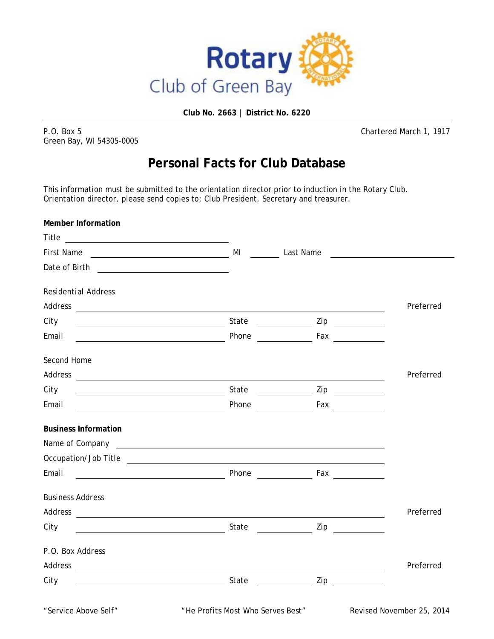

**Club No. 2663 | District No. 6220** 

P.O. Box 5 Chartered March 1, 1917 Green Bay, WI 54305-0005

## **Personal Facts for Club Database**

This information must be submitted to the orientation director prior to induction in the Rotary Club. Orientation director, please send copies to; Club President, Secretary and treasurer.

| <b>Member Information</b>                                                                                                                                                                                                      |                                   |                                                                                                                                                                                                                                                                                                                                                                                                                                 |                           |
|--------------------------------------------------------------------------------------------------------------------------------------------------------------------------------------------------------------------------------|-----------------------------------|---------------------------------------------------------------------------------------------------------------------------------------------------------------------------------------------------------------------------------------------------------------------------------------------------------------------------------------------------------------------------------------------------------------------------------|---------------------------|
|                                                                                                                                                                                                                                |                                   |                                                                                                                                                                                                                                                                                                                                                                                                                                 |                           |
|                                                                                                                                                                                                                                |                                   |                                                                                                                                                                                                                                                                                                                                                                                                                                 |                           |
|                                                                                                                                                                                                                                |                                   |                                                                                                                                                                                                                                                                                                                                                                                                                                 |                           |
| <b>Residential Address</b>                                                                                                                                                                                                     |                                   |                                                                                                                                                                                                                                                                                                                                                                                                                                 |                           |
|                                                                                                                                                                                                                                |                                   |                                                                                                                                                                                                                                                                                                                                                                                                                                 | Preferred                 |
| City                                                                                                                                                                                                                           |                                   |                                                                                                                                                                                                                                                                                                                                                                                                                                 |                           |
| Email<br><u> 1989 - Jan Barnett, fransk politik (d. 1989)</u>                                                                                                                                                                  | Phone                             | <b>Example 18 Fax</b>                                                                                                                                                                                                                                                                                                                                                                                                           |                           |
| Second Home                                                                                                                                                                                                                    |                                   |                                                                                                                                                                                                                                                                                                                                                                                                                                 |                           |
|                                                                                                                                                                                                                                |                                   |                                                                                                                                                                                                                                                                                                                                                                                                                                 | Preferred                 |
| City                                                                                                                                                                                                                           |                                   |                                                                                                                                                                                                                                                                                                                                                                                                                                 |                           |
| Email                                                                                                                                                                                                                          | Phone                             | <b>Example 18 Travel 18 Travel 18 Travel 18 Travel 18 Travel 18 Travel 18 Travel 18 Travel 18 Travel 18 Travel 18 Travel 18 Travel 18 Travel 18 Travel 18 Travel 18 Travel 18 Travel 18 Travel 18 Travel 18 Travel 18 Travel 18 </b>                                                                                                                                                                                            |                           |
| <b>Business Information</b>                                                                                                                                                                                                    |                                   |                                                                                                                                                                                                                                                                                                                                                                                                                                 |                           |
|                                                                                                                                                                                                                                |                                   |                                                                                                                                                                                                                                                                                                                                                                                                                                 |                           |
| Occupation/Job Title                                                                                                                                                                                                           |                                   |                                                                                                                                                                                                                                                                                                                                                                                                                                 |                           |
| Email                                                                                                                                                                                                                          | Phone                             | $\mathsf{F}$ ax $\_\_\_\_\_\_\_\_\_\_\_\_\_\_\_\_\_\_\_\_$                                                                                                                                                                                                                                                                                                                                                                      |                           |
| <b>Business Address</b>                                                                                                                                                                                                        |                                   |                                                                                                                                                                                                                                                                                                                                                                                                                                 |                           |
| Address and the contract of the contract of the contract of the contract of the contract of the contract of the contract of the contract of the contract of the contract of the contract of the contract of the contract of th |                                   |                                                                                                                                                                                                                                                                                                                                                                                                                                 | Preferred                 |
| City                                                                                                                                                                                                                           |                                   | $\frac{1}{2}$ Zip                                                                                                                                                                                                                                                                                                                                                                                                               |                           |
| P.O. Box Address                                                                                                                                                                                                               |                                   |                                                                                                                                                                                                                                                                                                                                                                                                                                 |                           |
|                                                                                                                                                                                                                                |                                   |                                                                                                                                                                                                                                                                                                                                                                                                                                 | Preferred                 |
| City                                                                                                                                                                                                                           |                                   | $\frac{1}{\sqrt{1-\frac{1}{2}}}\frac{1}{\sqrt{1-\frac{1}{2}}}\frac{1}{\sqrt{1-\frac{1}{2}}}\frac{1}{\sqrt{1-\frac{1}{2}}}\frac{1}{\sqrt{1-\frac{1}{2}}}\frac{1}{\sqrt{1-\frac{1}{2}}}\frac{1}{\sqrt{1-\frac{1}{2}}}\frac{1}{\sqrt{1-\frac{1}{2}}}\frac{1}{\sqrt{1-\frac{1}{2}}}\frac{1}{\sqrt{1-\frac{1}{2}}}\frac{1}{\sqrt{1-\frac{1}{2}}}\frac{1}{\sqrt{1-\frac{1}{2}}}\frac{1}{\sqrt{1-\frac{1}{2}}}\frac{1}{\sqrt{1-\frac{$ |                           |
| "Service Above Self"                                                                                                                                                                                                           | "He Profits Most Who Serves Best" |                                                                                                                                                                                                                                                                                                                                                                                                                                 | Revised November 25, 2014 |